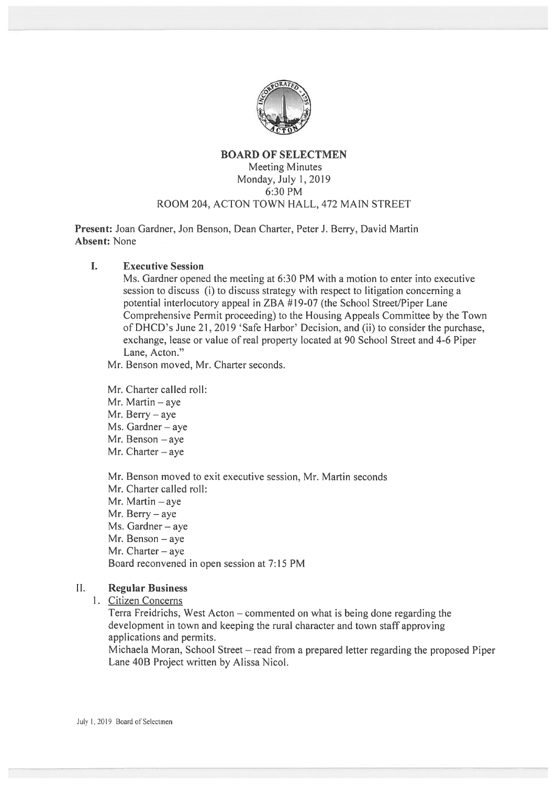

# BOARD OF SELECTMEN Meeting Minutes Monday, July 1, 2019 6:30 PM ROOM 204, ACTON TOWN HALL, 472 MAIN STREET

Present: Joan Gardner, Jon Benson, Dean Charter, Peter J. Berry, David Martin Absent: None

 $\mathbf{L}$ Executive Session

> Ms. Gardner opened the meeting at 6:30 PM with <sup>a</sup> motion to enter into executive session to discuss (i) to discuss strategy with respect to litigation concerning a potential interlocutory appeal in ZBA #19-07 (the School Street/Piper Lane Comprehensive Permit proceeding) to the Housing Appeals Committee by the Town of DHCD's June 21, 2019 'Safe Harbor' Decision, and (ii) to consider the purchase, exchange, lease or value of real property located at 90 School Street and 4-6 Piper Lane, Acton."

Mr. Benson moved, Mr. Charter seconds.

Mr. Charter called roll:

Mr. Martin — aye

Mr. Berry — aye

Ms. Gardner—aye

Mr. Benson — aye

Mr. Charter — aye

Mr. Benson moved to exit executive session, Mr. Martin seconds

Mr. Charter called roll:

Mr. Martin — aye

Mr. Berry — aye

Ms. Gardner — aye

Mr. Benson — aye

Mr. Charter — aye

Board reconvened in open session at 7:15 PM

# 11. Regular Business

I. Citizen Concerns

Terra Freidrichs, West Acton — commented on what is being done regarding the development in town and keeping the rural character and town staff approving applications and permits.

Michaela Moran, School Street — read from <sup>a</sup> prepared letter regarding the proposed Piper Lane 40B Project written by Alissa Nicol.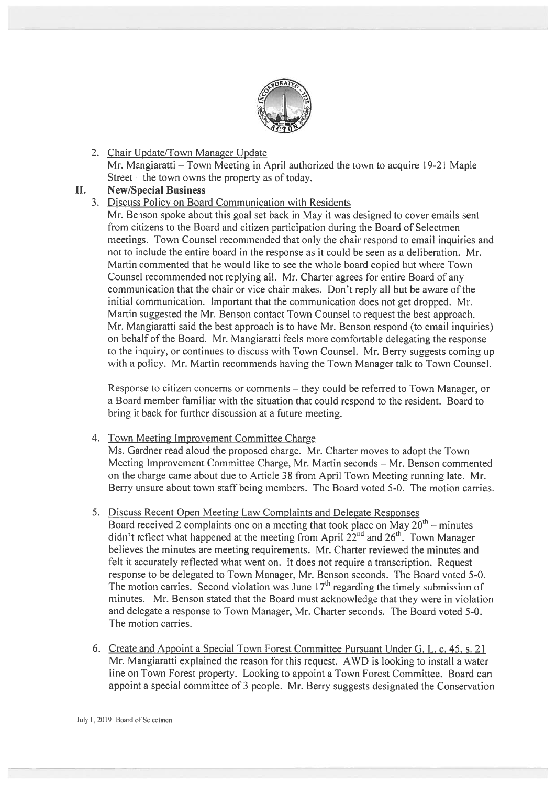

2. Chair Update/Town Manager Update Mr. Mangiaratti – Town Meeting in April authorized the town to acquire 19-21 Maple Street  $-$  the town owns the property as of today.

### II. New/Special Business

# 3. Discuss Policy on Board Communication with Residents

Mr. Benson spoke about this goal set back in May it was designed to cover emails sent from citizens to the Board and citizen participation during the Board of Selectmen meetings. Town Counsel recommended that only the chair respond to email inquiries and not to include the entire board in the response as it could be seen as <sup>a</sup> deliberation. Mr. Martin commented that he would like to see the whole board copied but where Town Counsel recommended not replying all. Mr. Charter agrees for entire Board of any communication that the chair or vice chair makes. Don't reply all but be aware of the initial communication. Important that the communication does not ge<sup>t</sup> dropped. Mr. Martin suggested the Mr. Benson contact Town Counsel to reques<sup>t</sup> the best approach. Mr. Mangiaratti said the best approach is to have Mr. Benson respond (to email inquiries) on behalf of the Board. Mr. Mangiaratti feels more comfortable delegating the response to the inquiry, or continues to discuss with Town Counsel. Mr. Berry suggests coming up with <sup>a</sup> policy. Mr. Martin recommends having the Town Manager talk to Town Counsel.

Response to citizen concerns or comments — they could be referred to Town Manager, or <sup>a</sup> Board member familiar with the situation that could respond to the resident. Board to bring it back for further discussion at <sup>a</sup> future meeting.

4. Town Meeting Improvement Committee Charge

Ms. Gardner read aloud the proposed charge. Mr. Charter moves to adopt the Town Meeting Improvement Committee Charge, Mr. Martin seconds — Mr. Benson commented on the charge came about due to Article 38 from April Town Meeting running late. Mr. Berry unsure about town staff being members. The Board voted 5-0. The motion carries.

5. Discuss Recent Open Meeting Law Complaints and Delegate Responses

Board received 2 complaints one on a meeting that took place on May  $20^{th}$  – minutes didn't reflect what happened at the meeting from April  $22^{nd}$  and  $26^{th}$ . Town Manager believes the minutes are meeting requirements. Mr. Charter reviewed the minutes and felt it accurately reflected what went on. It does not require <sup>a</sup> transcription. Request response to be delegated to Town Manager, Mr. Benson seconds. The Board voted 5-0. The motion carries. Second violation was June  $17<sup>th</sup>$  regarding the timely submission of minutes. Mr. Benson stated that the Board must acknowledge that they were in violation and delegate <sup>a</sup> response to Town Manager, Mr. Charter seconds. The Board voted 5-0. The motion carries.

6. Create and Appoint <sup>a</sup> Special Town Forest Committee Pursuant Under G. L. c. 45. s. 21 Mr. Mangiaratti explained the reason for this request. AWD is looking to install <sup>a</sup> water line on Town Forest property. Looking to appoint <sup>a</sup> Town Forest Committee. Board can appoint <sup>a</sup> special committee of 3 people. Mr. Berry suggests designated the Conservation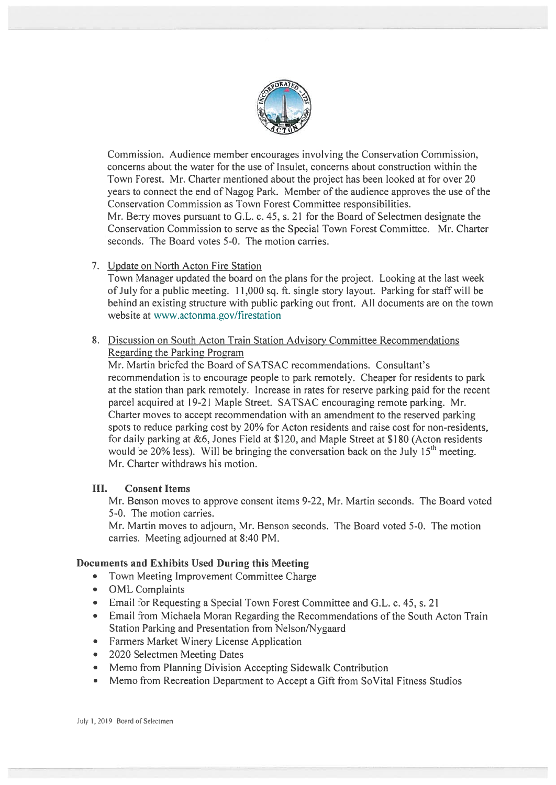

Commission. Audience member encourages involving the Conservation Commission, concerns about the water for the use of Insulet, concerns about construction within the Town Forest. Mr. Charter mentioned about the project has been looked at for over 20 years to connect the end of Nagog Park. Member of the audience approves the use of the Conservation Commission as Town Forest Committee responsibilities. Mr. Berry moves pursuant to G.L. c. 45, s. 21 for the Board of Selectmen designate the Conservation Commission to serve as the Special Town Forest Committee. Mr. Charter seconds. The Board votes 5-0. The motion carries.

7. Update on North Acton Fire Station

Town Manager updated the board on the plans for the project. Looking at the last week of July for a public meeting. 11,000 sq. ft. single story layout. Parking for staff will be behind an existing structure with public parking out front. All documents are on the town website at www.actonma.gov/firestation

8. Discussion on South Acton Train Station Advisory Committee Recommendations Regarding the Parking Program

Mr. Martin briefed the Board of SATSAC recommendations. Consultant's recommendation is to encourage people to park remotely. Cheaper for residents to park at the station than park remotely. Increase in rates for reserve parking paid for the recent parcel acquired at 19-21 Maple Street. SATSAC encouraging remote parking. Mr. Charter moves to accep<sup>t</sup> recommendation with an amendment to the reserved parking spots to reduce parking cost by 20% for Acton residents and raise cost for non-residents, for daily parking at &6, Jones Field at \$120. and Maple Street at \$180 (Acton residents would be 20% less). Will be bringing the conversation back on the July  $15<sup>th</sup>$  meeting. Mr. Charter withdraws his motion.

# III. Consent Items

Mr. Benson moves to approve consent items 9-22, Mr. Martin seconds. The Board voted 5-0. The motion carries.

Mr. Martin moves to adjourn, Mr. Benson seconds. The Board voted 5-0. The motion carries. Meeting adjourned at 8:40 PM.

# Documents and Exhibits Used During this Meeting

- Town Meeting Improvement Committee Charge
- OML Complaints
- •Email for Requesting <sup>a</sup> Special Town Forest Committee and G.L. c. 45, s. 21
- Email from Michaela Moran Regarding the Recommendations of the South Acton Train Station Parking and Presentation from Nelson/Nygaard
- Farmers Market Winery License Application
- •2020 Selectmen Meeting Dates
- Memo from Planning Division Accepting Sidewalk Contribution
- •Memo from Recreation Department to Accept <sup>a</sup> Gift from SoVital Fitness Studios